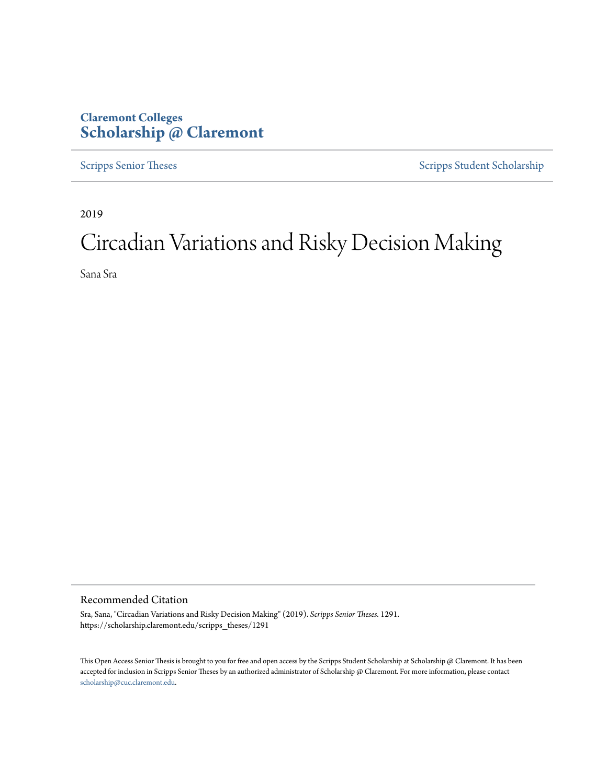## **Claremont Colleges [Scholarship @ Claremont](https://scholarship.claremont.edu)**

[Scripps Senior Theses](https://scholarship.claremont.edu/scripps_theses) [Scripps Student Scholarship](https://scholarship.claremont.edu/scripps_student)

2019

# Circadian Variations and Risky Decision Making

Sana Sra

#### Recommended Citation

Sra, Sana, "Circadian Variations and Risky Decision Making" (2019). *Scripps Senior Theses*. 1291. https://scholarship.claremont.edu/scripps\_theses/1291

This Open Access Senior Thesis is brought to you for free and open access by the Scripps Student Scholarship at Scholarship @ Claremont. It has been accepted for inclusion in Scripps Senior Theses by an authorized administrator of Scholarship @ Claremont. For more information, please contact [scholarship@cuc.claremont.edu.](mailto:scholarship@cuc.claremont.edu)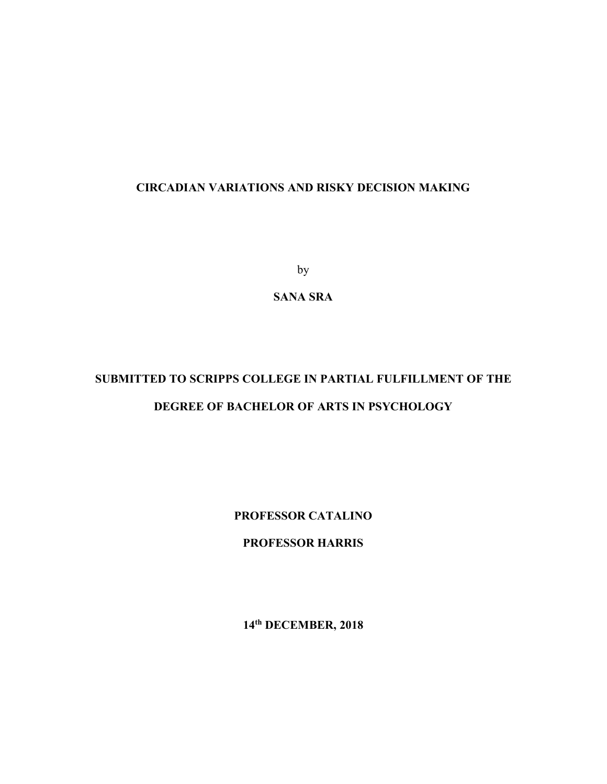by

**SANA SRA**

# **SUBMITTED TO SCRIPPS COLLEGE IN PARTIAL FULFILLMENT OF THE DEGREE OF BACHELOR OF ARTS IN PSYCHOLOGY**

**PROFESSOR CATALINO**

**PROFESSOR HARRIS** 

**14th DECEMBER, 2018**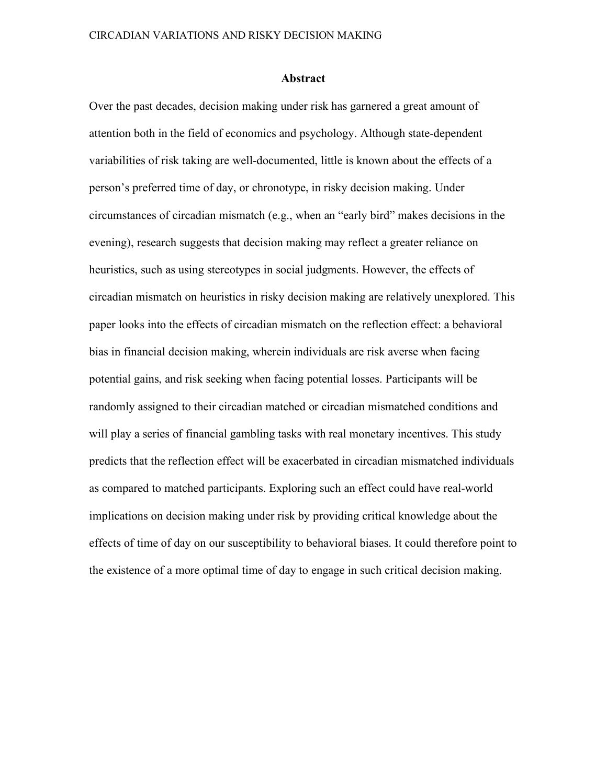#### **Abstract**

Over the past decades, decision making under risk has garnered a great amount of attention both in the field of economics and psychology. Although state-dependent variabilities of risk taking are well-documented, little is known about the effects of a person's preferred time of day, or chronotype, in risky decision making. Under circumstances of circadian mismatch (e.g., when an "early bird" makes decisions in the evening), research suggests that decision making may reflect a greater reliance on heuristics, such as using stereotypes in social judgments. However, the effects of circadian mismatch on heuristics in risky decision making are relatively unexplored. This paper looks into the effects of circadian mismatch on the reflection effect: a behavioral bias in financial decision making, wherein individuals are risk averse when facing potential gains, and risk seeking when facing potential losses. Participants will be randomly assigned to their circadian matched or circadian mismatched conditions and will play a series of financial gambling tasks with real monetary incentives. This study predicts that the reflection effect will be exacerbated in circadian mismatched individuals as compared to matched participants. Exploring such an effect could have real-world implications on decision making under risk by providing critical knowledge about the effects of time of day on our susceptibility to behavioral biases. It could therefore point to the existence of a more optimal time of day to engage in such critical decision making.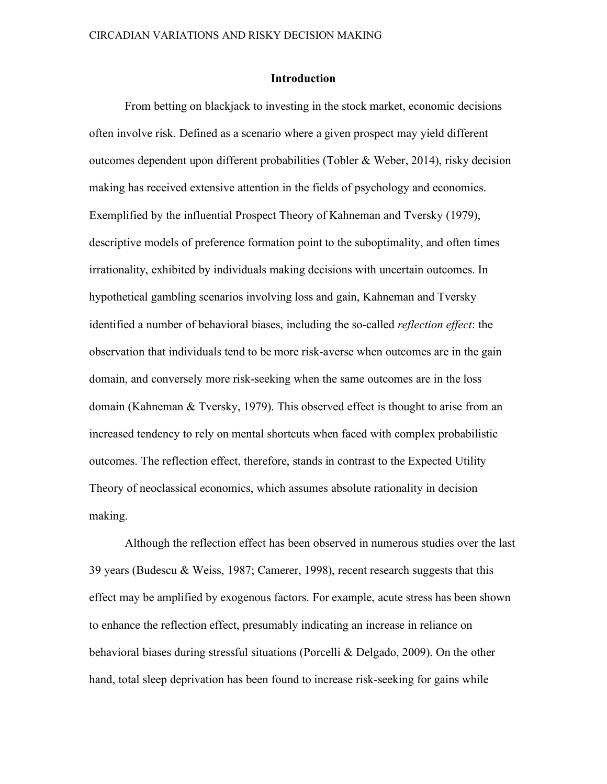#### **Introduction**

From betting on blackjack to investing in the stock market, economic decisions often involve risk. Defined as a scenario where a given prospect may yield different outcomes dependent upon different probabilities (Tobler & Weber, 2014), risky decision making has received extensive attention in the fields of psychology and economics. Exemplified by the influential Prospect Theory of Kahneman and Tversky (1979), descriptive models of preference formation point to the suboptimality, and often times irrationality, exhibited by individuals making decisions with uncertain outcomes. In hypothetical gambling scenarios involving loss and gain, Kahneman and Tversky identified a number of behavioral biases, including the so-called *reflection effect*: the observation that individuals tend to be more risk-averse when outcomes are in the gain domain, and conversely more risk-seeking when the same outcomes are in the loss domain (Kahneman & Tversky, 1979). This observed effect is thought to arise from an increased tendency to rely on mental shortcuts when faced with complex probabilistic outcomes. The reflection effect, therefore, stands in contrast to the Expected Utility Theory of neoclassical economics, which assumes absolute rationality in decision making.

Although the reflection effect has been observed in numerous studies over the last 39 years (Budescu & Weiss, 1987; Camerer, 1998), recent research suggests that this effect may be amplified by exogenous factors. For example, acute stress has been shown to enhance the reflection effect, presumably indicating an increase in reliance on behavioral biases during stressful situations (Porcelli & Delgado, 2009). On the other hand, total sleep deprivation has been found to increase risk-seeking for gains while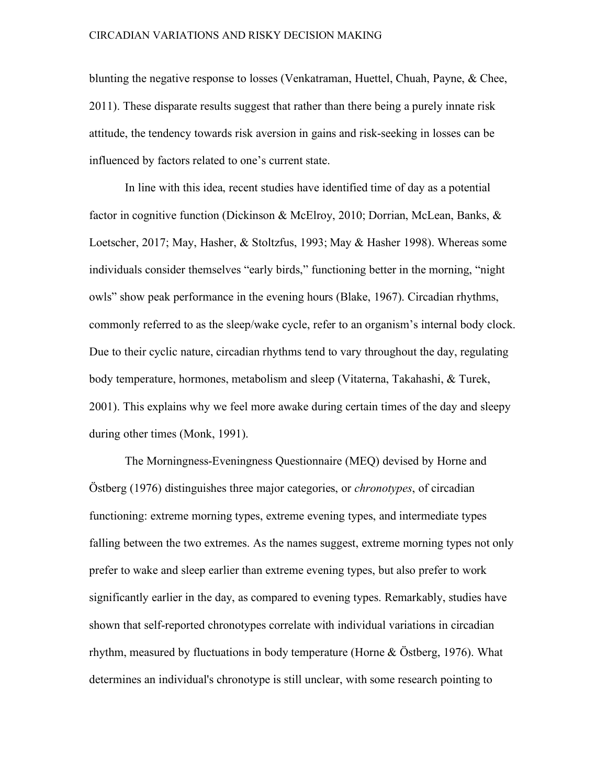blunting the negative response to losses (Venkatraman, Huettel, Chuah, Payne, & Chee, 2011). These disparate results suggest that rather than there being a purely innate risk attitude, the tendency towards risk aversion in gains and risk-seeking in losses can be influenced by factors related to one's current state.

In line with this idea, recent studies have identified time of day as a potential factor in cognitive function (Dickinson & McElroy, 2010; Dorrian, McLean, Banks, & Loetscher, 2017; May, Hasher, & Stoltzfus, 1993; May & Hasher 1998). Whereas some individuals consider themselves "early birds," functioning better in the morning, "night owls" show peak performance in the evening hours (Blake, 1967). Circadian rhythms, commonly referred to as the sleep/wake cycle, refer to an organism's internal body clock. Due to their cyclic nature, circadian rhythms tend to vary throughout the day, regulating body temperature, hormones, metabolism and sleep (Vitaterna, Takahashi, & Turek, 2001). This explains why we feel more awake during certain times of the day and sleepy during other times (Monk, 1991).

The Morningness-Eveningness Questionnaire (MEQ) devised by Horne and Östberg (1976) distinguishes three major categories, or *chronotypes*, of circadian functioning: extreme morning types, extreme evening types, and intermediate types falling between the two extremes. As the names suggest, extreme morning types not only prefer to wake and sleep earlier than extreme evening types, but also prefer to work significantly earlier in the day, as compared to evening types. Remarkably, studies have shown that self-reported chronotypes correlate with individual variations in circadian rhythm, measured by fluctuations in body temperature (Horne & Östberg, 1976). What determines an individual's chronotype is still unclear, with some research pointing to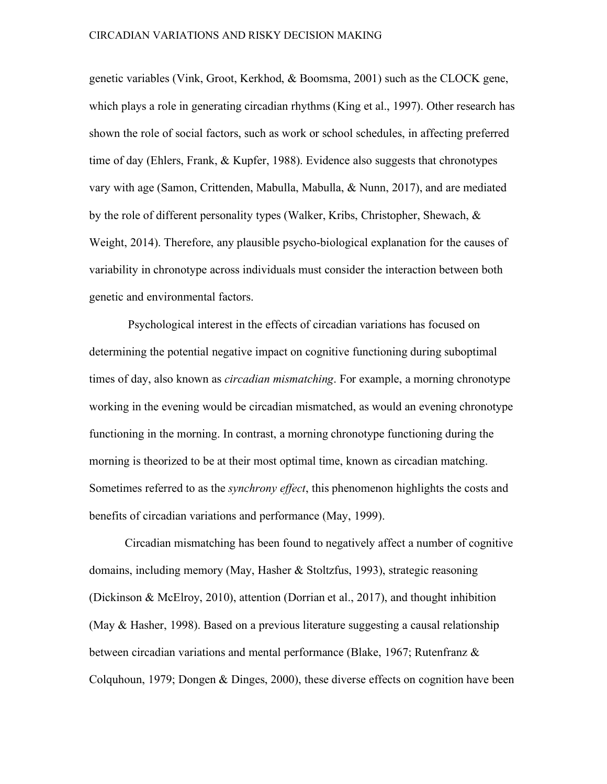genetic variables (Vink, Groot, Kerkhod, & Boomsma, 2001) such as the CLOCK gene, which plays a role in generating circadian rhythms (King et al., 1997). Other research has shown the role of social factors, such as work or school schedules, in affecting preferred time of day (Ehlers, Frank, & Kupfer, 1988). Evidence also suggests that chronotypes vary with age (Samon, Crittenden, Mabulla, Mabulla, & Nunn, 2017), and are mediated by the role of different personality types (Walker, Kribs, Christopher, Shewach, & Weight, 2014). Therefore, any plausible psycho-biological explanation for the causes of variability in chronotype across individuals must consider the interaction between both genetic and environmental factors.

Psychological interest in the effects of circadian variations has focused on determining the potential negative impact on cognitive functioning during suboptimal times of day, also known as *circadian mismatching*. For example, a morning chronotype working in the evening would be circadian mismatched, as would an evening chronotype functioning in the morning. In contrast, a morning chronotype functioning during the morning is theorized to be at their most optimal time, known as circadian matching. Sometimes referred to as the *synchrony effect*, this phenomenon highlights the costs and benefits of circadian variations and performance (May, 1999).

Circadian mismatching has been found to negatively affect a number of cognitive domains, including memory (May, Hasher & Stoltzfus, 1993), strategic reasoning (Dickinson & McElroy, 2010), attention (Dorrian et al., 2017), and thought inhibition (May & Hasher, 1998). Based on a previous literature suggesting a causal relationship between circadian variations and mental performance (Blake, 1967; Rutenfranz & Colquhoun, 1979; Dongen & Dinges, 2000), these diverse effects on cognition have been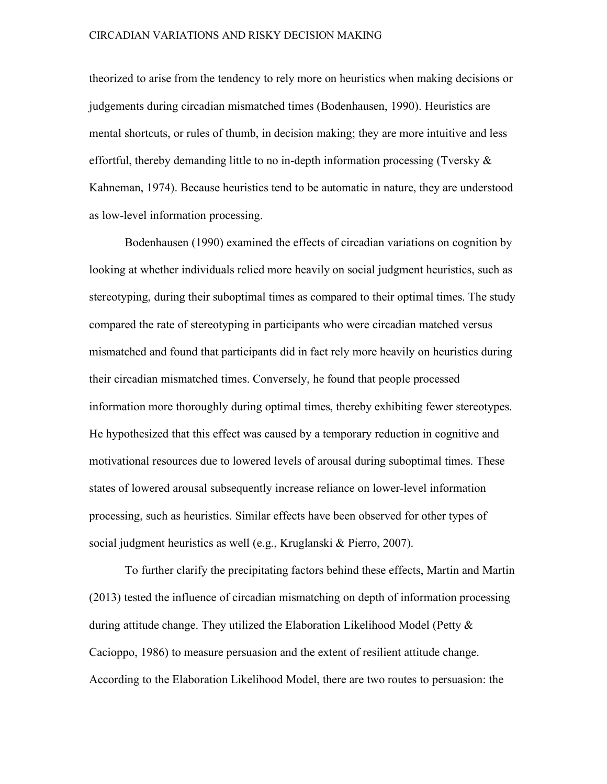theorized to arise from the tendency to rely more on heuristics when making decisions or judgements during circadian mismatched times (Bodenhausen, 1990). Heuristics are mental shortcuts, or rules of thumb, in decision making; they are more intuitive and less effortful, thereby demanding little to no in-depth information processing (Tversky  $\&$ Kahneman, 1974). Because heuristics tend to be automatic in nature, they are understood as low-level information processing.

Bodenhausen (1990) examined the effects of circadian variations on cognition by looking at whether individuals relied more heavily on social judgment heuristics, such as stereotyping, during their suboptimal times as compared to their optimal times. The study compared the rate of stereotyping in participants who were circadian matched versus mismatched and found that participants did in fact rely more heavily on heuristics during their circadian mismatched times. Conversely, he found that people processed information more thoroughly during optimal times, thereby exhibiting fewer stereotypes. He hypothesized that this effect was caused by a temporary reduction in cognitive and motivational resources due to lowered levels of arousal during suboptimal times. These states of lowered arousal subsequently increase reliance on lower-level information processing, such as heuristics. Similar effects have been observed for other types of social judgment heuristics as well (e.g., Kruglanski & Pierro, 2007).

To further clarify the precipitating factors behind these effects, Martin and Martin (2013) tested the influence of circadian mismatching on depth of information processing during attitude change. They utilized the Elaboration Likelihood Model (Petty  $\&$ Cacioppo, 1986) to measure persuasion and the extent of resilient attitude change. According to the Elaboration Likelihood Model, there are two routes to persuasion: the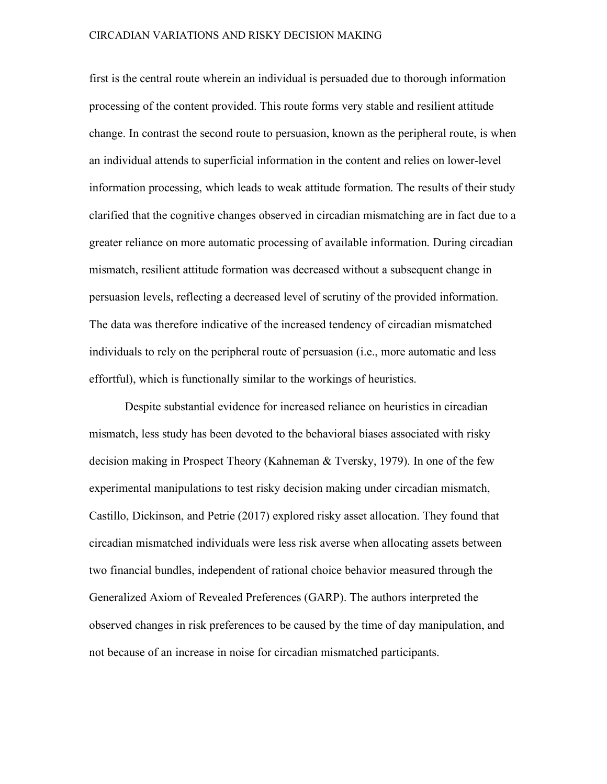first is the central route wherein an individual is persuaded due to thorough information processing of the content provided. This route forms very stable and resilient attitude change. In contrast the second route to persuasion, known as the peripheral route, is when an individual attends to superficial information in the content and relies on lower-level information processing, which leads to weak attitude formation. The results of their study clarified that the cognitive changes observed in circadian mismatching are in fact due to a greater reliance on more automatic processing of available information. During circadian mismatch, resilient attitude formation was decreased without a subsequent change in persuasion levels, reflecting a decreased level of scrutiny of the provided information. The data was therefore indicative of the increased tendency of circadian mismatched individuals to rely on the peripheral route of persuasion (i.e., more automatic and less effortful), which is functionally similar to the workings of heuristics.

Despite substantial evidence for increased reliance on heuristics in circadian mismatch, less study has been devoted to the behavioral biases associated with risky decision making in Prospect Theory (Kahneman & Tversky, 1979). In one of the few experimental manipulations to test risky decision making under circadian mismatch, Castillo, Dickinson, and Petrie (2017) explored risky asset allocation. They found that circadian mismatched individuals were less risk averse when allocating assets between two financial bundles, independent of rational choice behavior measured through the Generalized Axiom of Revealed Preferences (GARP). The authors interpreted the observed changes in risk preferences to be caused by the time of day manipulation, and not because of an increase in noise for circadian mismatched participants.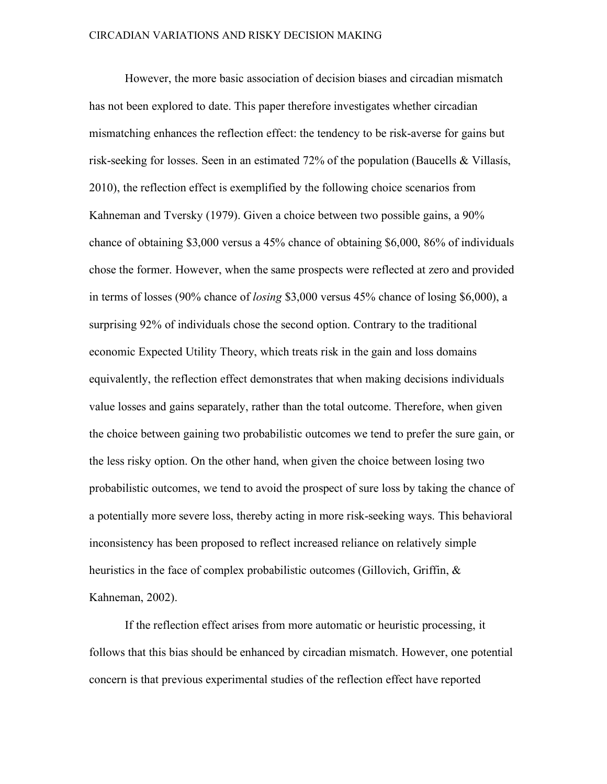However, the more basic association of decision biases and circadian mismatch has not been explored to date. This paper therefore investigates whether circadian mismatching enhances the reflection effect: the tendency to be risk-averse for gains but risk-seeking for losses. Seen in an estimated 72% of the population (Baucells & Villasís, 2010), the reflection effect is exemplified by the following choice scenarios from Kahneman and Tversky (1979). Given a choice between two possible gains, a 90% chance of obtaining \$3,000 versus a 45% chance of obtaining \$6,000, 86% of individuals chose the former. However, when the same prospects were reflected at zero and provided in terms of losses (90% chance of *losing* \$3,000 versus 45% chance of losing \$6,000), a surprising 92% of individuals chose the second option. Contrary to the traditional economic Expected Utility Theory, which treats risk in the gain and loss domains equivalently, the reflection effect demonstrates that when making decisions individuals value losses and gains separately, rather than the total outcome. Therefore, when given the choice between gaining two probabilistic outcomes we tend to prefer the sure gain, or the less risky option. On the other hand, when given the choice between losing two probabilistic outcomes, we tend to avoid the prospect of sure loss by taking the chance of a potentially more severe loss, thereby acting in more risk-seeking ways. This behavioral inconsistency has been proposed to reflect increased reliance on relatively simple heuristics in the face of complex probabilistic outcomes (Gillovich, Griffin, & Kahneman, 2002).

If the reflection effect arises from more automatic or heuristic processing, it follows that this bias should be enhanced by circadian mismatch. However, one potential concern is that previous experimental studies of the reflection effect have reported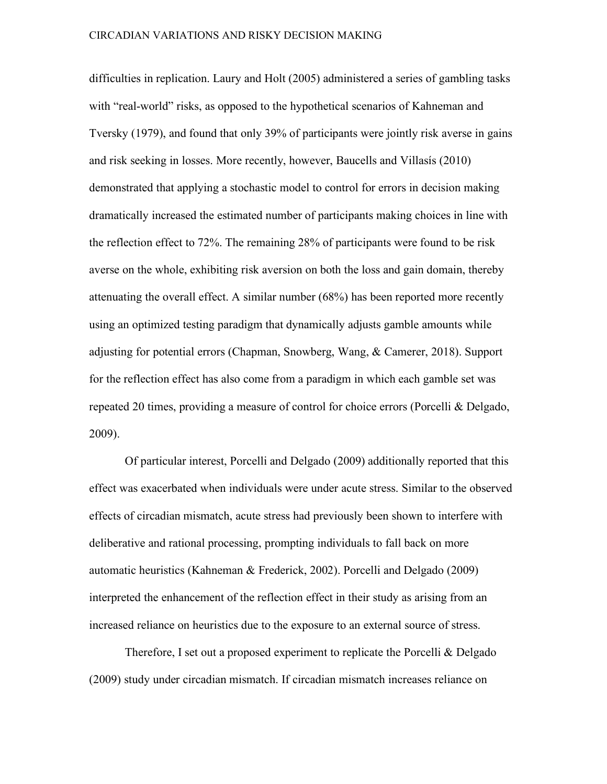difficulties in replication. Laury and Holt (2005) administered a series of gambling tasks with "real-world" risks, as opposed to the hypothetical scenarios of Kahneman and Tversky (1979), and found that only 39% of participants were jointly risk averse in gains and risk seeking in losses. More recently, however, Baucells and Villasís (2010) demonstrated that applying a stochastic model to control for errors in decision making dramatically increased the estimated number of participants making choices in line with the reflection effect to 72%. The remaining 28% of participants were found to be risk averse on the whole, exhibiting risk aversion on both the loss and gain domain, thereby attenuating the overall effect. A similar number (68%) has been reported more recently using an optimized testing paradigm that dynamically adjusts gamble amounts while adjusting for potential errors (Chapman, Snowberg, Wang, & Camerer, 2018). Support for the reflection effect has also come from a paradigm in which each gamble set was repeated 20 times, providing a measure of control for choice errors (Porcelli & Delgado, 2009).

Of particular interest, Porcelli and Delgado (2009) additionally reported that this effect was exacerbated when individuals were under acute stress. Similar to the observed effects of circadian mismatch, acute stress had previously been shown to interfere with deliberative and rational processing, prompting individuals to fall back on more automatic heuristics (Kahneman & Frederick, 2002). Porcelli and Delgado (2009) interpreted the enhancement of the reflection effect in their study as arising from an increased reliance on heuristics due to the exposure to an external source of stress.

Therefore, I set out a proposed experiment to replicate the Porcelli & Delgado (2009) study under circadian mismatch. If circadian mismatch increases reliance on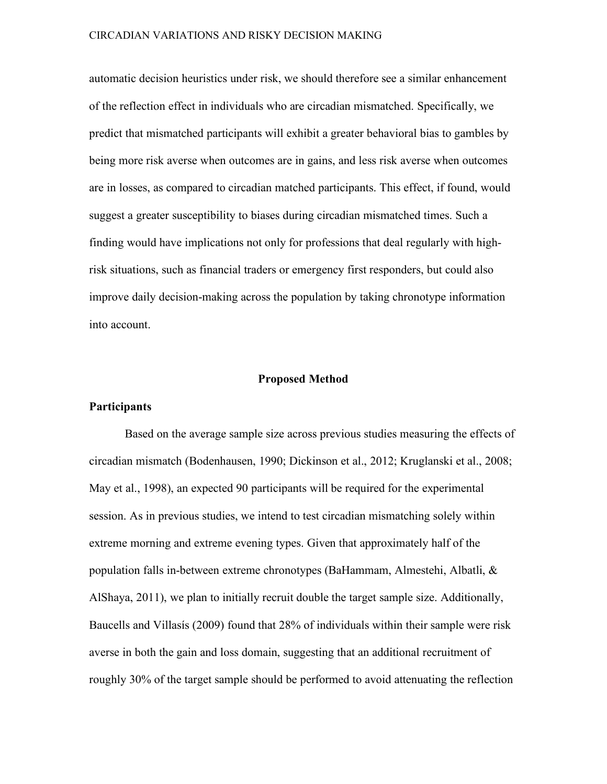automatic decision heuristics under risk, we should therefore see a similar enhancement of the reflection effect in individuals who are circadian mismatched. Specifically, we predict that mismatched participants will exhibit a greater behavioral bias to gambles by being more risk averse when outcomes are in gains, and less risk averse when outcomes are in losses, as compared to circadian matched participants. This effect, if found, would suggest a greater susceptibility to biases during circadian mismatched times. Such a finding would have implications not only for professions that deal regularly with highrisk situations, such as financial traders or emergency first responders, but could also improve daily decision-making across the population by taking chronotype information into account.

#### **Proposed Method**

#### **Participants**

Based on the average sample size across previous studies measuring the effects of circadian mismatch (Bodenhausen, 1990; Dickinson et al., 2012; Kruglanski et al., 2008; May et al., 1998), an expected 90 participants will be required for the experimental session. As in previous studies, we intend to test circadian mismatching solely within extreme morning and extreme evening types. Given that approximately half of the population falls in-between extreme chronotypes (BaHammam, Almestehi, Albatli, & AlShaya, 2011), we plan to initially recruit double the target sample size. Additionally, Baucells and Villasís (2009) found that 28% of individuals within their sample were risk averse in both the gain and loss domain, suggesting that an additional recruitment of roughly 30% of the target sample should be performed to avoid attenuating the reflection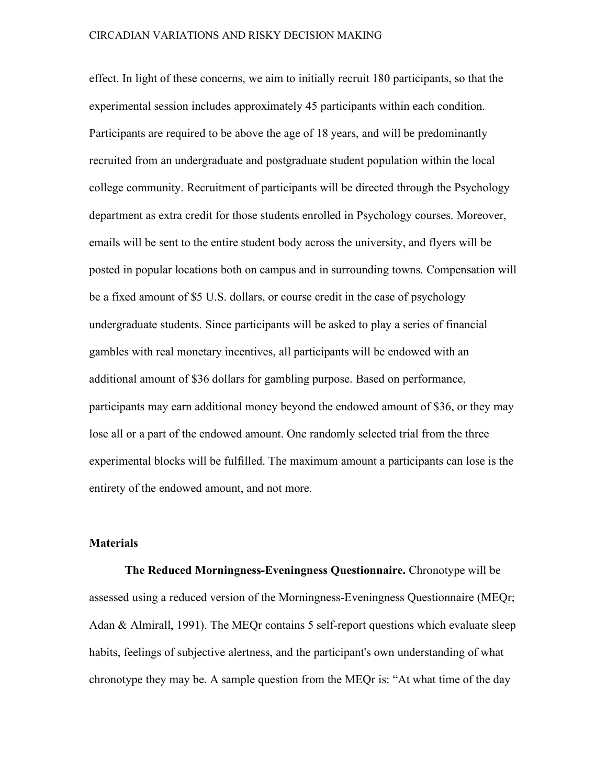effect. In light of these concerns, we aim to initially recruit 180 participants, so that the experimental session includes approximately 45 participants within each condition. Participants are required to be above the age of 18 years, and will be predominantly recruited from an undergraduate and postgraduate student population within the local college community. Recruitment of participants will be directed through the Psychology department as extra credit for those students enrolled in Psychology courses. Moreover, emails will be sent to the entire student body across the university, and flyers will be posted in popular locations both on campus and in surrounding towns. Compensation will be a fixed amount of \$5 U.S. dollars, or course credit in the case of psychology undergraduate students. Since participants will be asked to play a series of financial gambles with real monetary incentives, all participants will be endowed with an additional amount of \$36 dollars for gambling purpose. Based on performance, participants may earn additional money beyond the endowed amount of \$36, or they may lose all or a part of the endowed amount. One randomly selected trial from the three experimental blocks will be fulfilled. The maximum amount a participants can lose is the entirety of the endowed amount, and not more.

#### **Materials**

 **The Reduced Morningness-Eveningness Questionnaire.** Chronotype will be assessed using a reduced version of the Morningness-Eveningness Questionnaire (MEQr; Adan & Almirall, 1991). The MEQr contains 5 self-report questions which evaluate sleep habits, feelings of subjective alertness, and the participant's own understanding of what chronotype they may be. A sample question from the MEQr is: "At what time of the day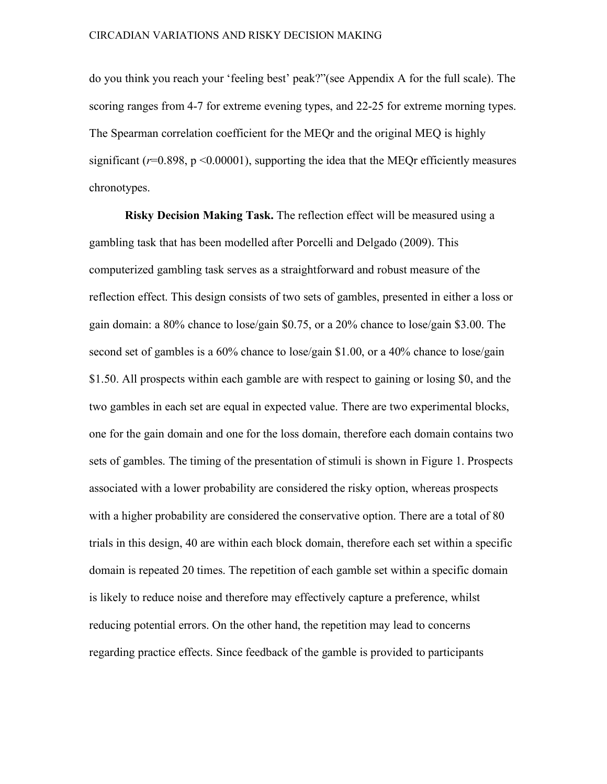do you think you reach your 'feeling best' peak?"(see Appendix A for the full scale). The scoring ranges from 4-7 for extreme evening types, and 22-25 for extreme morning types. The Spearman correlation coefficient for the MEQr and the original MEQ is highly significant  $(r=0.898, p \le 0.00001)$ , supporting the idea that the MEQr efficiently measures chronotypes.

 **Risky Decision Making Task.** The reflection effect will be measured using a gambling task that has been modelled after Porcelli and Delgado (2009). This computerized gambling task serves as a straightforward and robust measure of the reflection effect. This design consists of two sets of gambles, presented in either a loss or gain domain: a 80% chance to lose/gain \$0.75, or a 20% chance to lose/gain \$3.00. The second set of gambles is a 60% chance to lose/gain \$1.00, or a 40% chance to lose/gain \$1.50. All prospects within each gamble are with respect to gaining or losing \$0, and the two gambles in each set are equal in expected value. There are two experimental blocks, one for the gain domain and one for the loss domain, therefore each domain contains two sets of gambles. The timing of the presentation of stimuli is shown in Figure 1. Prospects associated with a lower probability are considered the risky option, whereas prospects with a higher probability are considered the conservative option. There are a total of 80 trials in this design, 40 are within each block domain, therefore each set within a specific domain is repeated 20 times. The repetition of each gamble set within a specific domain is likely to reduce noise and therefore may effectively capture a preference, whilst reducing potential errors. On the other hand, the repetition may lead to concerns regarding practice effects. Since feedback of the gamble is provided to participants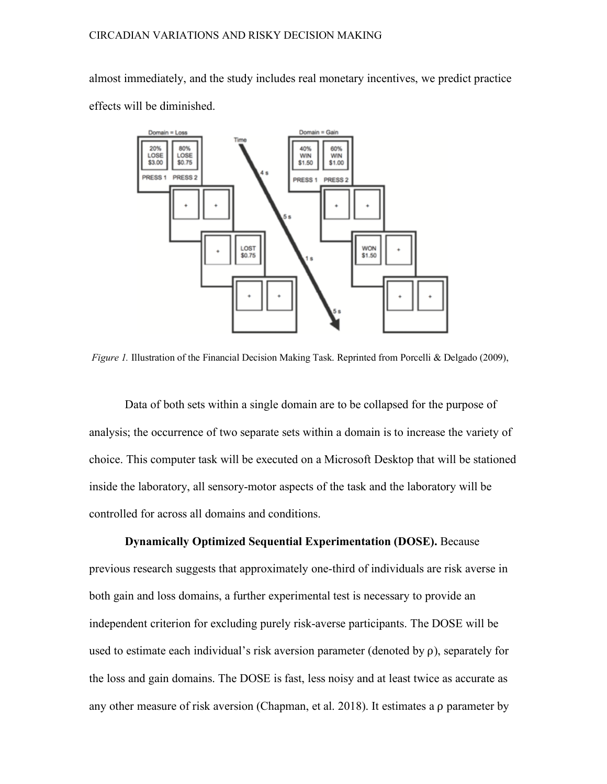almost immediately, and the study includes real monetary incentives, we predict practice effects will be diminished.



*Figure 1.* Illustration of the Financial Decision Making Task. Reprinted from Porcelli & Delgado (2009),

Data of both sets within a single domain are to be collapsed for the purpose of analysis; the occurrence of two separate sets within a domain is to increase the variety of choice. This computer task will be executed on a Microsoft Desktop that will be stationed inside the laboratory, all sensory-motor aspects of the task and the laboratory will be controlled for across all domains and conditions.

 **Dynamically Optimized Sequential Experimentation (DOSE).** Because previous research suggests that approximately one-third of individuals are risk averse in both gain and loss domains, a further experimental test is necessary to provide an independent criterion for excluding purely risk-averse participants. The DOSE will be used to estimate each individual's risk aversion parameter (denoted by  $\rho$ ), separately for the loss and gain domains. The DOSE is fast, less noisy and at least twice as accurate as any other measure of risk aversion (Chapman, et al. 2018). It estimates a ⍴ parameter by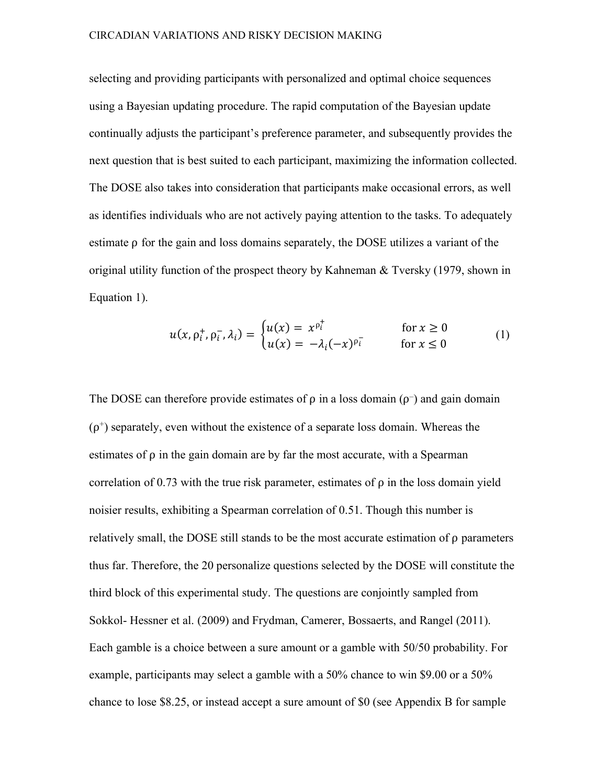selecting and providing participants with personalized and optimal choice sequences using a Bayesian updating procedure. The rapid computation of the Bayesian update continually adjusts the participant's preference parameter, and subsequently provides the next question that is best suited to each participant, maximizing the information collected. The DOSE also takes into consideration that participants make occasional errors, as well as identifies individuals who are not actively paying attention to the tasks. To adequately estimate  $\rho$  for the gain and loss domains separately, the DOSE utilizes a variant of the original utility function of the prospect theory by Kahneman & Tversky (1979, shown in Equation 1).

$$
u(x, \rho_i^+, \rho_i^-, \lambda_i) = \begin{cases} u(x) = x^{\rho_i^+} & \text{for } x \ge 0\\ u(x) = -\lambda_i (-x)^{\rho_i^-} & \text{for } x \le 0 \end{cases}
$$
 (1)

The DOSE can therefore provide estimates of  $\rho$  in a loss domain  $(\rho^-)$  and gain domain  $(\rho^+)$  separately, even without the existence of a separate loss domain. Whereas the estimates of  $\rho$  in the gain domain are by far the most accurate, with a Spearman correlation of 0.73 with the true risk parameter, estimates of  $\rho$  in the loss domain yield noisier results, exhibiting a Spearman correlation of 0.51. Though this number is relatively small, the DOSE still stands to be the most accurate estimation of  $\rho$  parameters thus far. Therefore, the 20 personalize questions selected by the DOSE will constitute the third block of this experimental study. The questions are conjointly sampled from Sokkol- Hessner et al. (2009) and Frydman, Camerer, Bossaerts, and Rangel (2011). Each gamble is a choice between a sure amount or a gamble with 50/50 probability. For example, participants may select a gamble with a 50% chance to win \$9.00 or a 50% chance to lose \$8.25, or instead accept a sure amount of \$0 (see Appendix B for sample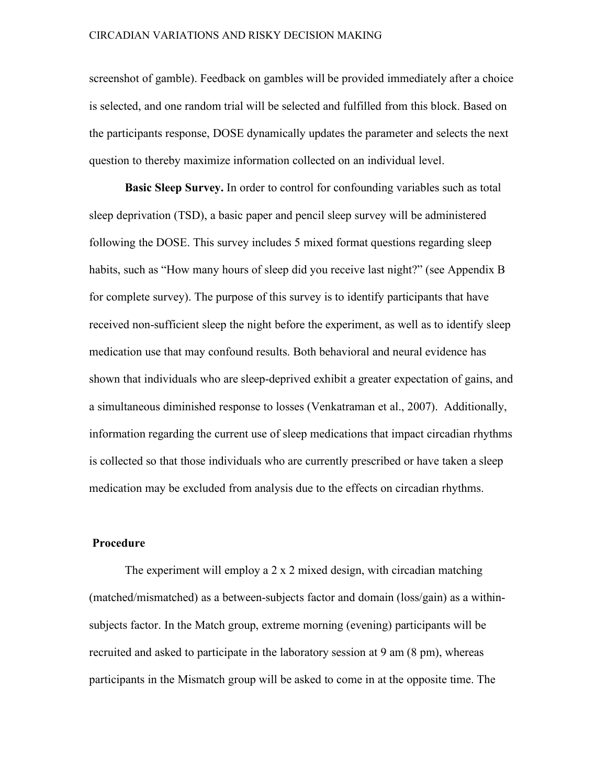screenshot of gamble). Feedback on gambles will be provided immediately after a choice is selected, and one random trial will be selected and fulfilled from this block. Based on the participants response, DOSE dynamically updates the parameter and selects the next question to thereby maximize information collected on an individual level.

 **Basic Sleep Survey.** In order to control for confounding variables such as total sleep deprivation (TSD), a basic paper and pencil sleep survey will be administered following the DOSE. This survey includes 5 mixed format questions regarding sleep habits, such as "How many hours of sleep did you receive last night?" (see Appendix B for complete survey). The purpose of this survey is to identify participants that have received non-sufficient sleep the night before the experiment, as well as to identify sleep medication use that may confound results. Both behavioral and neural evidence has shown that individuals who are sleep-deprived exhibit a greater expectation of gains, and a simultaneous diminished response to losses (Venkatraman et al., 2007). Additionally, information regarding the current use of sleep medications that impact circadian rhythms is collected so that those individuals who are currently prescribed or have taken a sleep medication may be excluded from analysis due to the effects on circadian rhythms.

#### **Procedure**

The experiment will employ a 2 x 2 mixed design, with circadian matching (matched/mismatched) as a between-subjects factor and domain (loss/gain) as a withinsubjects factor. In the Match group, extreme morning (evening) participants will be recruited and asked to participate in the laboratory session at 9 am (8 pm), whereas participants in the Mismatch group will be asked to come in at the opposite time. The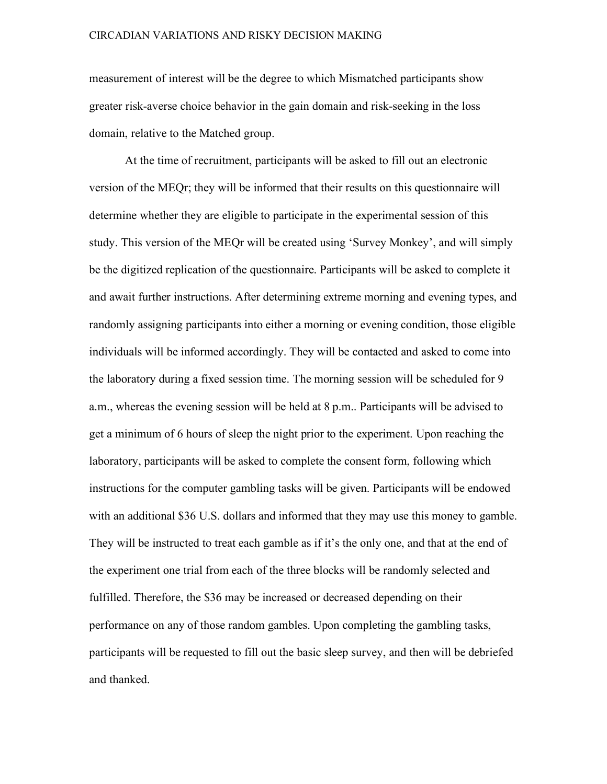measurement of interest will be the degree to which Mismatched participants show greater risk-averse choice behavior in the gain domain and risk-seeking in the loss domain, relative to the Matched group.

At the time of recruitment, participants will be asked to fill out an electronic version of the MEQr; they will be informed that their results on this questionnaire will determine whether they are eligible to participate in the experimental session of this study. This version of the MEQr will be created using 'Survey Monkey', and will simply be the digitized replication of the questionnaire. Participants will be asked to complete it and await further instructions. After determining extreme morning and evening types, and randomly assigning participants into either a morning or evening condition, those eligible individuals will be informed accordingly. They will be contacted and asked to come into the laboratory during a fixed session time. The morning session will be scheduled for 9 a.m., whereas the evening session will be held at 8 p.m.. Participants will be advised to get a minimum of 6 hours of sleep the night prior to the experiment. Upon reaching the laboratory, participants will be asked to complete the consent form, following which instructions for the computer gambling tasks will be given. Participants will be endowed with an additional \$36 U.S. dollars and informed that they may use this money to gamble. They will be instructed to treat each gamble as if it's the only one, and that at the end of the experiment one trial from each of the three blocks will be randomly selected and fulfilled. Therefore, the \$36 may be increased or decreased depending on their performance on any of those random gambles. Upon completing the gambling tasks, participants will be requested to fill out the basic sleep survey, and then will be debriefed and thanked.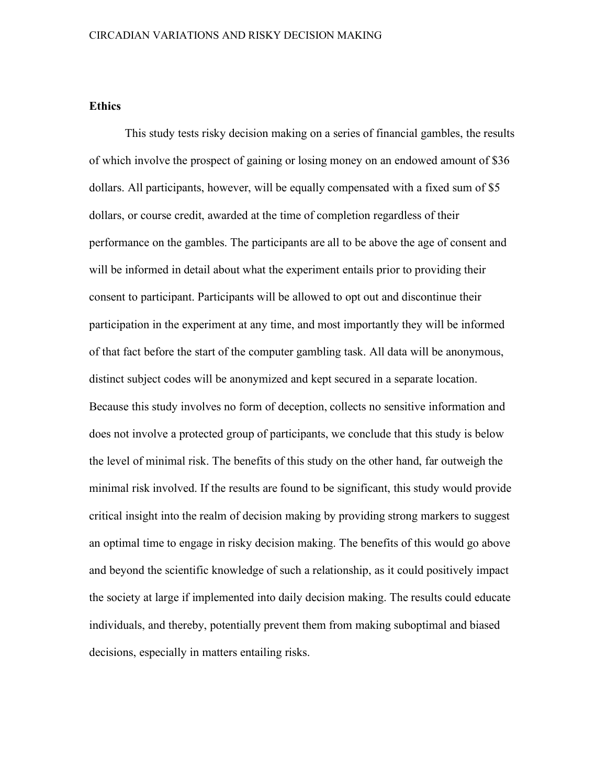#### **Ethics**

 This study tests risky decision making on a series of financial gambles, the results of which involve the prospect of gaining or losing money on an endowed amount of \$36 dollars. All participants, however, will be equally compensated with a fixed sum of \$5 dollars, or course credit, awarded at the time of completion regardless of their performance on the gambles. The participants are all to be above the age of consent and will be informed in detail about what the experiment entails prior to providing their consent to participant. Participants will be allowed to opt out and discontinue their participation in the experiment at any time, and most importantly they will be informed of that fact before the start of the computer gambling task. All data will be anonymous, distinct subject codes will be anonymized and kept secured in a separate location. Because this study involves no form of deception, collects no sensitive information and does not involve a protected group of participants, we conclude that this study is below the level of minimal risk. The benefits of this study on the other hand, far outweigh the minimal risk involved. If the results are found to be significant, this study would provide critical insight into the realm of decision making by providing strong markers to suggest an optimal time to engage in risky decision making. The benefits of this would go above and beyond the scientific knowledge of such a relationship, as it could positively impact the society at large if implemented into daily decision making. The results could educate individuals, and thereby, potentially prevent them from making suboptimal and biased decisions, especially in matters entailing risks.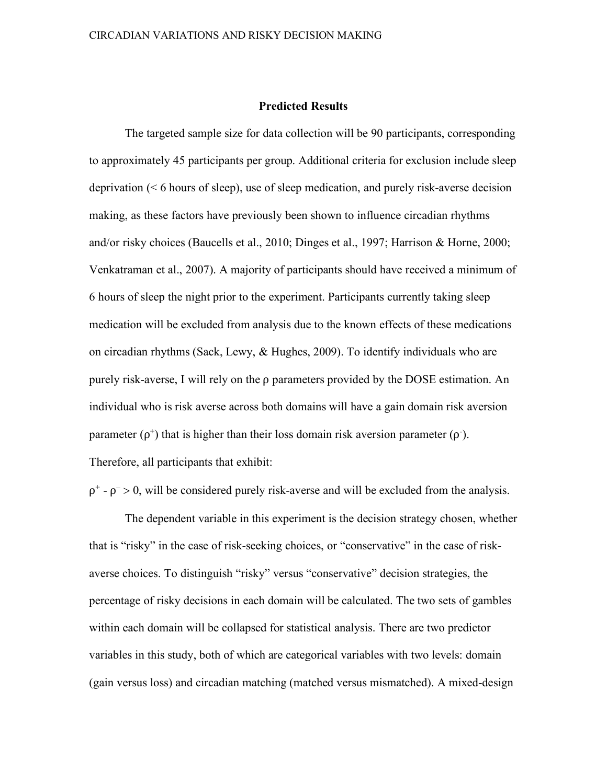#### **Predicted Results**

The targeted sample size for data collection will be 90 participants, corresponding to approximately 45 participants per group. Additional criteria for exclusion include sleep deprivation (< 6 hours of sleep), use of sleep medication, and purely risk-averse decision making, as these factors have previously been shown to influence circadian rhythms and/or risky choices (Baucells et al., 2010; Dinges et al., 1997; Harrison & Horne, 2000; Venkatraman et al., 2007). A majority of participants should have received a minimum of 6 hours of sleep the night prior to the experiment. Participants currently taking sleep medication will be excluded from analysis due to the known effects of these medications on circadian rhythms (Sack, Lewy, & Hughes, 2009). To identify individuals who are purely risk-averse, I will rely on the ⍴ parameters provided by the DOSE estimation. An individual who is risk averse across both domains will have a gain domain risk aversion parameter  $(\rho^+)$  that is higher than their loss domain risk aversion parameter  $(\rho^+)$ . Therefore, all participants that exhibit:

 $\rho^+$  -  $\rho$  > 0, will be considered purely risk-averse and will be excluded from the analysis.

The dependent variable in this experiment is the decision strategy chosen, whether that is "risky" in the case of risk-seeking choices, or "conservative" in the case of riskaverse choices. To distinguish "risky" versus "conservative" decision strategies, the percentage of risky decisions in each domain will be calculated. The two sets of gambles within each domain will be collapsed for statistical analysis. There are two predictor variables in this study, both of which are categorical variables with two levels: domain (gain versus loss) and circadian matching (matched versus mismatched). A mixed-design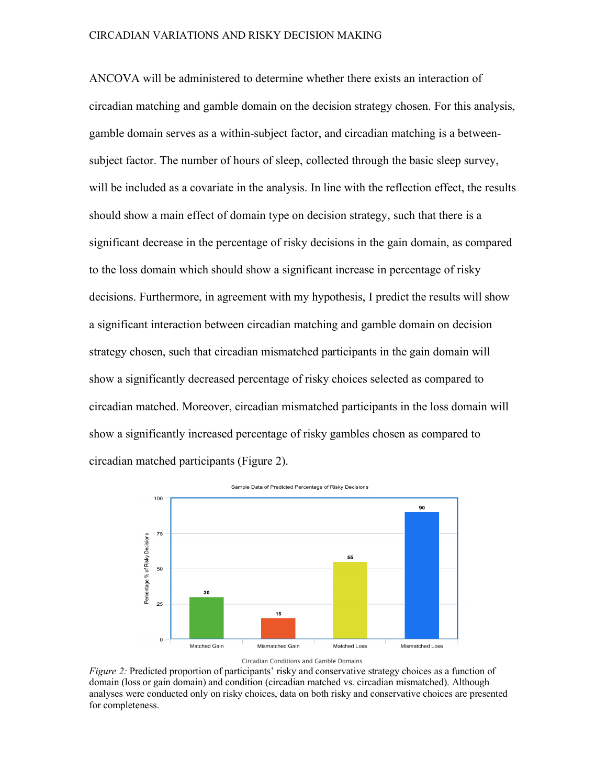ANCOVA will be administered to determine whether there exists an interaction of circadian matching and gamble domain on the decision strategy chosen. For this analysis, gamble domain serves as a within-subject factor, and circadian matching is a betweensubject factor. The number of hours of sleep, collected through the basic sleep survey, will be included as a covariate in the analysis. In line with the reflection effect, the results should show a main effect of domain type on decision strategy, such that there is a significant decrease in the percentage of risky decisions in the gain domain, as compared to the loss domain which should show a significant increase in percentage of risky decisions. Furthermore, in agreement with my hypothesis, I predict the results will show a significant interaction between circadian matching and gamble domain on decision strategy chosen, such that circadian mismatched participants in the gain domain will show a significantly decreased percentage of risky choices selected as compared to circadian matched. Moreover, circadian mismatched participants in the loss domain will show a significantly increased percentage of risky gambles chosen as compared to circadian matched participants (Figure 2).



*Figure* 2: Predicted proportion of participants' risky and conservative strategy choices as a function of domain (loss or gain domain) and condition (circadian matched vs. circadian mismatched). Although analyses were conducted only on risky choices, data on both risky and conservative choices are presented for completeness.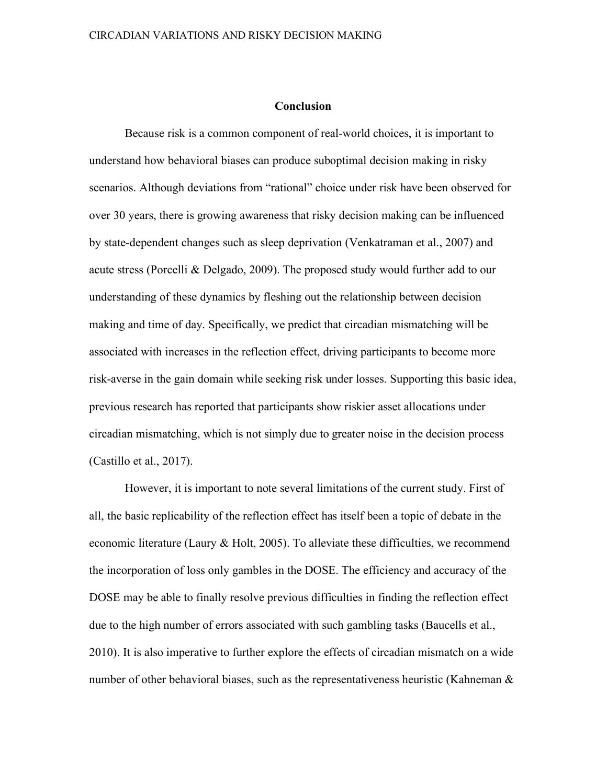#### **Conclusion**

Because risk is a common component of real-world choices, it is important to understand how behavioral biases can produce suboptimal decision making in risky scenarios. Although deviations from "rational" choice under risk have been observed for over 30 years, there is growing awareness that risky decision making can be influenced by state-dependent changes such as sleep deprivation (Venkatraman et al., 2007) and acute stress (Porcelli & Delgado, 2009). The proposed study would further add to our understanding of these dynamics by fleshing out the relationship between decision making and time of day. Specifically, we predict that circadian mismatching will be associated with increases in the reflection effect, driving participants to become more risk-averse in the gain domain while seeking risk under losses. Supporting this basic idea, previous research has reported that participants show riskier asset allocations under circadian mismatching, which is not simply due to greater noise in the decision process (Castillo et al., 2017).

However, it is important to note several limitations of the current study. First of all, the basic replicability of the reflection effect has itself been a topic of debate in the economic literature (Laury & Holt, 2005). To alleviate these difficulties, we recommend the incorporation of loss only gambles in the DOSE. The efficiency and accuracy of the DOSE may be able to finally resolve previous difficulties in finding the reflection effect due to the high number of errors associated with such gambling tasks (Baucells et al., 2010). It is also imperative to further explore the effects of circadian mismatch on a wide number of other behavioral biases, such as the representativeness heuristic (Kahneman  $\&$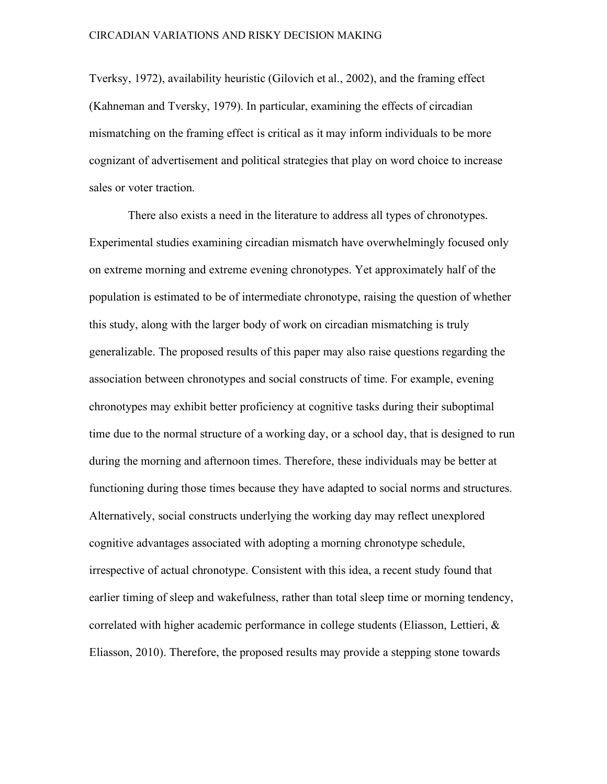Tverksy, 1972), availability heuristic (Gilovich et al., 2002), and the framing effect (Kahneman and Tversky, 1979). In particular, examining the effects of circadian mismatching on the framing effect is critical as it may inform individuals to be more cognizant of advertisement and political strategies that play on word choice to increase sales or voter traction.

There also exists a need in the literature to address all types of chronotypes. Experimental studies examining circadian mismatch have overwhelmingly focused only on extreme morning and extreme evening chronotypes. Yet approximately half of the population is estimated to be of intermediate chronotype, raising the question of whether this study, along with the larger body of work on circadian mismatching is truly generalizable. The proposed results of this paper may also raise questions regarding the association between chronotypes and social constructs of time. For example, evening chronotypes may exhibit better proficiency at cognitive tasks during their suboptimal time due to the normal structure of a working day, or a school day, that is designed to run during the morning and afternoon times. Therefore, these individuals may be better at functioning during those times because they have adapted to social norms and structures. Alternatively, social constructs underlying the working day may reflect unexplored cognitive advantages associated with adopting a morning chronotype schedule, irrespective of actual chronotype. Consistent with this idea, a recent study found that earlier timing of sleep and wakefulness, rather than total sleep time or morning tendency, correlated with higher academic performance in college students (Eliasson, Lettieri, & Eliasson, 2010). Therefore, the proposed results may provide a stepping stone towards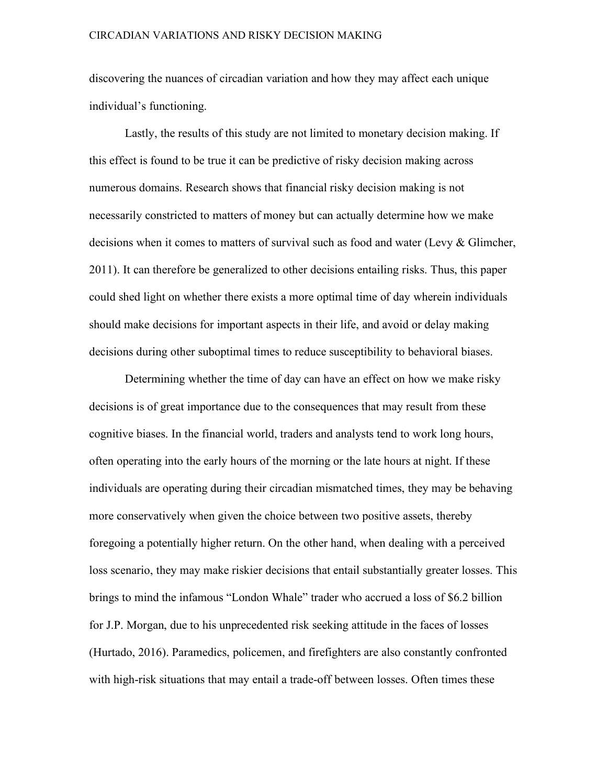discovering the nuances of circadian variation and how they may affect each unique individual's functioning.

Lastly, the results of this study are not limited to monetary decision making. If this effect is found to be true it can be predictive of risky decision making across numerous domains. Research shows that financial risky decision making is not necessarily constricted to matters of money but can actually determine how we make decisions when it comes to matters of survival such as food and water (Levy & Glimcher, 2011). It can therefore be generalized to other decisions entailing risks. Thus, this paper could shed light on whether there exists a more optimal time of day wherein individuals should make decisions for important aspects in their life, and avoid or delay making decisions during other suboptimal times to reduce susceptibility to behavioral biases.

Determining whether the time of day can have an effect on how we make risky decisions is of great importance due to the consequences that may result from these cognitive biases. In the financial world, traders and analysts tend to work long hours, often operating into the early hours of the morning or the late hours at night. If these individuals are operating during their circadian mismatched times, they may be behaving more conservatively when given the choice between two positive assets, thereby foregoing a potentially higher return. On the other hand, when dealing with a perceived loss scenario, they may make riskier decisions that entail substantially greater losses. This brings to mind the infamous "London Whale" trader who accrued a loss of \$6.2 billion for J.P. Morgan, due to his unprecedented risk seeking attitude in the faces of losses (Hurtado, 2016). Paramedics, policemen, and firefighters are also constantly confronted with high-risk situations that may entail a trade-off between losses. Often times these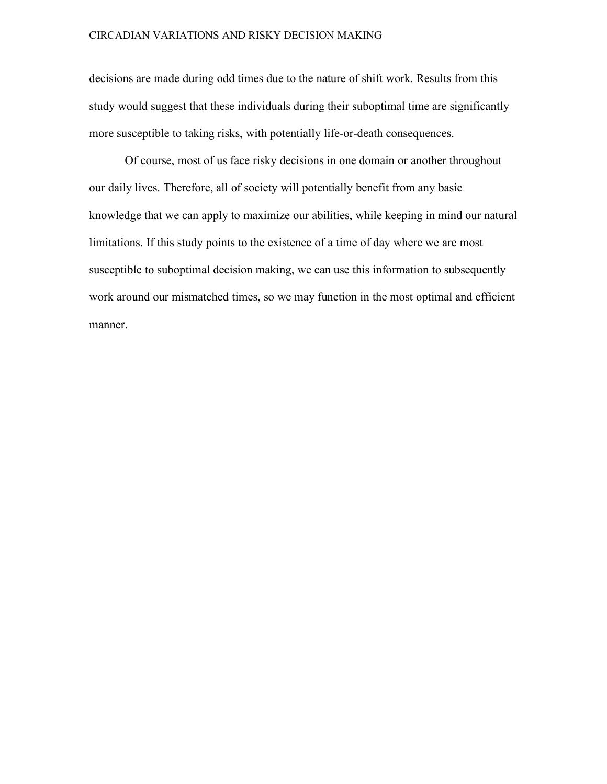decisions are made during odd times due to the nature of shift work. Results from this study would suggest that these individuals during their suboptimal time are significantly more susceptible to taking risks, with potentially life-or-death consequences.

Of course, most of us face risky decisions in one domain or another throughout our daily lives. Therefore, all of society will potentially benefit from any basic knowledge that we can apply to maximize our abilities, while keeping in mind our natural limitations. If this study points to the existence of a time of day where we are most susceptible to suboptimal decision making, we can use this information to subsequently work around our mismatched times, so we may function in the most optimal and efficient manner.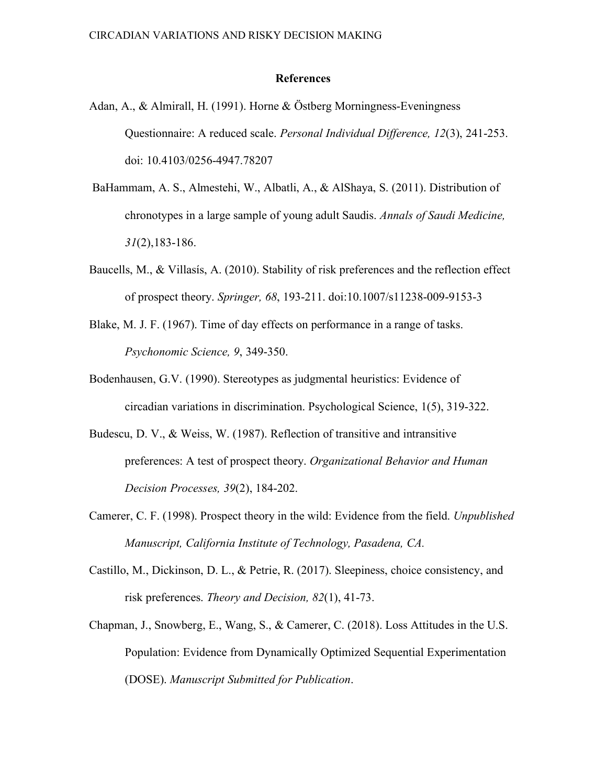#### **References**

- Adan, A., & Almirall, H. (1991). Horne & Östberg Morningness-Eveningness Questionnaire: A reduced scale. *Personal Individual Difference, 12*(3), 241-253. doi: 10.4103/0256-4947.78207
- BaHammam, A. S., Almestehi, W., Albatli, A., & AlShaya, S. (2011). Distribution of chronotypes in a large sample of young adult Saudis. *Annals of Saudi Medicine, 31*(2),183-186.
- Baucells, M., & Villasís, A. (2010). Stability of risk preferences and the reflection effect of prospect theory. *Springer, 68*, 193-211. doi:10.1007/s11238-009-9153-3
- Blake, M. J. F. (1967). Time of day effects on performance in a range of tasks. *Psychonomic Science, 9*, 349-350.
- Bodenhausen, G.V. (1990). Stereotypes as judgmental heuristics: Evidence of circadian variations in discrimination. Psychological Science, 1(5), 319-322.
- Budescu, D. V., & Weiss, W. (1987). Reflection of transitive and intransitive preferences: A test of prospect theory. *Organizational Behavior and Human Decision Processes, 39*(2), 184-202.
- Camerer, C. F. (1998). Prospect theory in the wild: Evidence from the field. *Unpublished Manuscript, California Institute of Technology, Pasadena, CA.*
- Castillo, M., Dickinson, D. L., & Petrie, R. (2017). Sleepiness, choice consistency, and risk preferences. *Theory and Decision, 82*(1), 41-73.
- Chapman, J., Snowberg, E., Wang, S., & Camerer, C. (2018). Loss Attitudes in the U.S. Population: Evidence from Dynamically Optimized Sequential Experimentation (DOSE). *Manuscript Submitted for Publication*.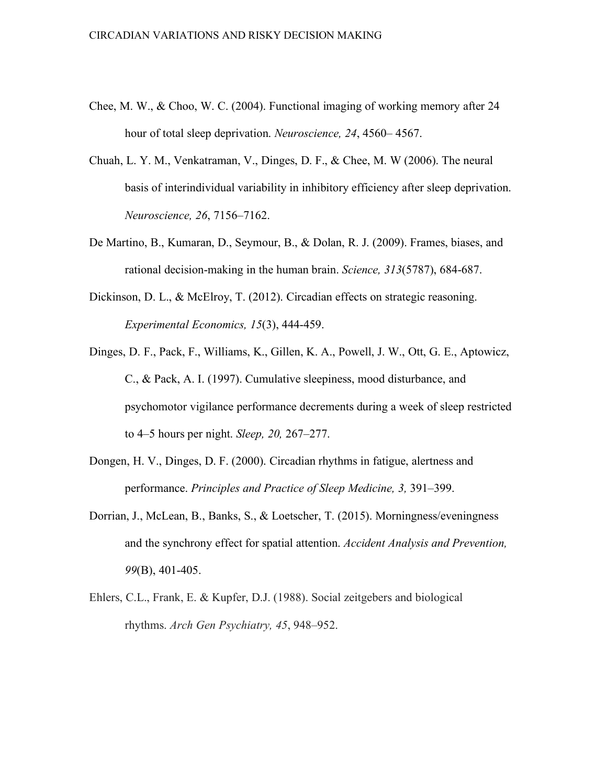- Chee, M. W., & Choo, W. C. (2004). Functional imaging of working memory after 24 hour of total sleep deprivation. *Neuroscience, 24*, 4560– 4567.
- Chuah, L. Y. M., Venkatraman, V., Dinges, D. F., & Chee, M. W (2006). The neural basis of interindividual variability in inhibitory efficiency after sleep deprivation. *Neuroscience, 26*, 7156–7162.
- De Martino, B., Kumaran, D., Seymour, B., & Dolan, R. J. (2009). Frames, biases, and rational decision-making in the human brain. *Science, 313*(5787), 684-687.
- Dickinson, D. L., & McElroy, T. (2012). Circadian effects on strategic reasoning. *Experimental Economics, 15*(3), 444-459.
- Dinges, D. F., Pack, F., Williams, K., Gillen, K. A., Powell, J. W., Ott, G. E., Aptowicz, C., & Pack, A. I. (1997). Cumulative sleepiness, mood disturbance, and psychomotor vigilance performance decrements during a week of sleep restricted to 4–5 hours per night. *Sleep, 20,* 267–277.
- Dongen, H. V., Dinges, D. F. (2000). Circadian rhythms in fatigue, alertness and performance. *Principles and Practice of Sleep Medicine, 3,* 391–399.
- Dorrian, J., McLean, B., Banks, S., & Loetscher, T. (2015). Morningness/eveningness and the synchrony effect for spatial attention. *Accident Analysis and Prevention, 99*(B), 401-405.
- Ehlers, C.L., Frank, E. & Kupfer, D.J. (1988). Social zeitgebers and biological rhythms. *Arch Gen Psychiatry, 45*, 948–952.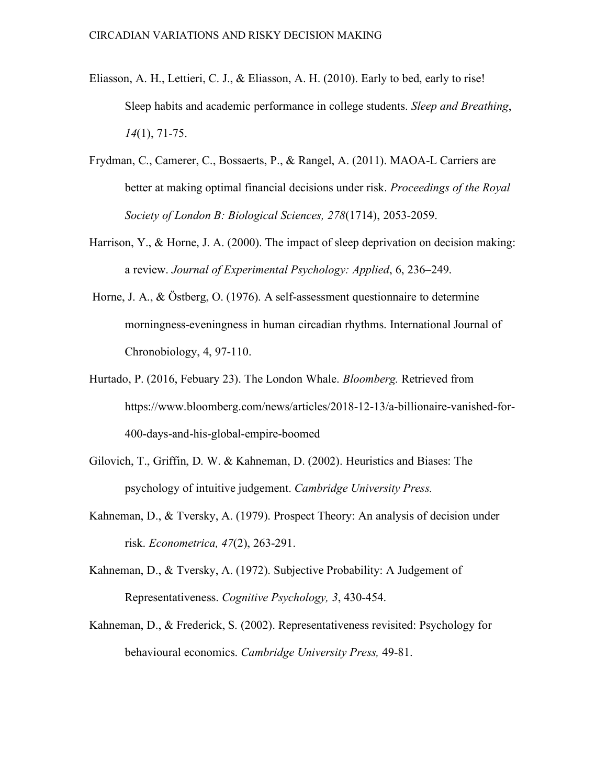- Eliasson, A. H., Lettieri, C. J., & Eliasson, A. H. (2010). Early to bed, early to rise! Sleep habits and academic performance in college students. *Sleep and Breathing*, *14*(1), 71-75.
- Frydman, C., Camerer, C., Bossaerts, P., & Rangel, A. (2011). MAOA-L Carriers are better at making optimal financial decisions under risk. *Proceedings of the Royal Society of London B: Biological Sciences, 278*(1714), 2053-2059.
- Harrison, Y., & Horne, J. A. (2000). The impact of sleep deprivation on decision making: a review. *Journal of Experimental Psychology: Applied*, 6, 236–249.
- Horne, J. A., & Östberg, O. (1976). A self-assessment questionnaire to determine morningness-eveningness in human circadian rhythms. International Journal of Chronobiology, 4, 97-110.
- Hurtado, P. (2016, Febuary 23). The London Whale. *Bloomberg.* Retrieved from https://www.bloomberg.com/news/articles/2018-12-13/a-billionaire-vanished-for-400-days-and-his-global-empire-boomed
- Gilovich, T., Griffin, D. W. & Kahneman, D. (2002). Heuristics and Biases: The psychology of intuitive judgement. *Cambridge University Press.*
- Kahneman, D., & Tversky, A. (1979). Prospect Theory: An analysis of decision under risk. *Econometrica, 47*(2), 263-291.
- Kahneman, D., & Tversky, A. (1972). Subjective Probability: A Judgement of Representativeness. *Cognitive Psychology, 3*, 430-454.
- Kahneman, D., & Frederick, S. (2002). Representativeness revisited: Psychology for behavioural economics. *Cambridge University Press,* 49-81.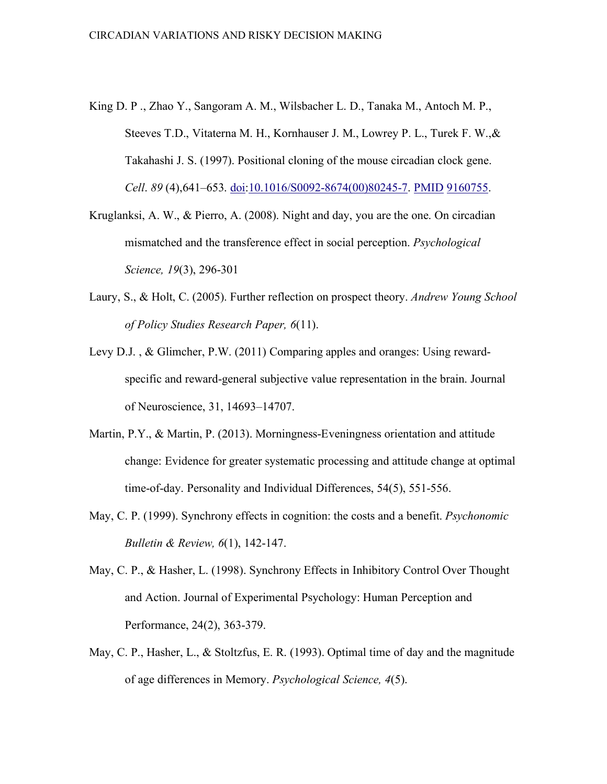- King D. P ., Zhao Y., Sangoram A. M., Wilsbacher L. D., Tanaka M., Antoch M. P., Steeves T.D., Vitaterna M. H., Kornhauser J. M., Lowrey P. L., Turek F. W.,& Takahashi J. S. (1997). Positional cloning of the mouse circadian clock gene. *Cell*. *89* (4),641–653. doi:10.1016/S0092-8674(00)80245-7. PMID 9160755.
- Kruglanksi, A. W., & Pierro, A. (2008). Night and day, you are the one. On circadian mismatched and the transference effect in social perception. *Psychological Science, 19*(3), 296-301
- Laury, S., & Holt, C. (2005). Further reflection on prospect theory. *Andrew Young School of Policy Studies Research Paper, 6*(11).
- Levy D.J. , & Glimcher, P.W. (2011) Comparing apples and oranges: Using rewardspecific and reward-general subjective value representation in the brain. Journal of Neuroscience, 31, 14693–14707.
- Martin, P.Y., & Martin, P. (2013). Morningness-Eveningness orientation and attitude change: Evidence for greater systematic processing and attitude change at optimal time-of-day. Personality and Individual Differences, 54(5), 551-556.
- May, C. P. (1999). Synchrony effects in cognition: the costs and a benefit. *Psychonomic Bulletin & Review, 6*(1), 142-147.
- May, C. P., & Hasher, L. (1998). Synchrony Effects in Inhibitory Control Over Thought and Action. Journal of Experimental Psychology: Human Perception and Performance, 24(2), 363-379.
- May, C. P., Hasher, L., & Stoltzfus, E. R. (1993). Optimal time of day and the magnitude of age differences in Memory. *Psychological Science, 4*(5).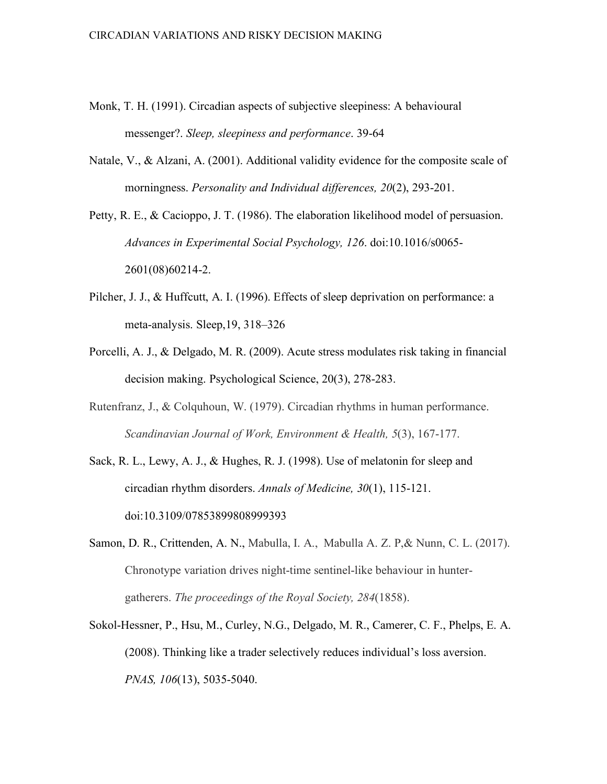- Monk, T. H. (1991). Circadian aspects of subjective sleepiness: A behavioural messenger?. *Sleep, sleepiness and performance*. 39-64
- Natale, V., & Alzani, A. (2001). Additional validity evidence for the composite scale of morningness. *Personality and Individual differences, 20*(2), 293-201.

Petty, R. E., & Cacioppo, J. T. (1986). The elaboration likelihood model of persuasion. *Advances in Experimental Social Psychology, 126*. doi:10.1016/s0065- 2601(08)60214-2.

- Pilcher, J. J., & Huffcutt, A. I. (1996). Effects of sleep deprivation on performance: a meta-analysis. Sleep,19, 318–326
- Porcelli, A. J., & Delgado, M. R. (2009). Acute stress modulates risk taking in financial decision making. Psychological Science, 20(3), 278-283.
- Rutenfranz, J., & Colquhoun, W. (1979). Circadian rhythms in human performance. *Scandinavian Journal of Work, Environment & Health, 5*(3), 167-177.
- Sack, R. L., Lewy, A. J., & Hughes, R. J. (1998). Use of melatonin for sleep and circadian rhythm disorders. *Annals of Medicine, 30*(1), 115-121. doi:10.3109/07853899808999393
- Samon, D. R., Crittenden, A. N., Mabulla, I. A., Mabulla A. Z. P,& Nunn, C. L. (2017). Chronotype variation drives night-time sentinel-like behaviour in huntergatherers. *The proceedings of the Royal Society, 284*(1858).
- Sokol-Hessner, P., Hsu, M., Curley, N.G., Delgado, M. R., Camerer, C. F., Phelps, E. A. (2008). Thinking like a trader selectively reduces individual's loss aversion. *PNAS, 106*(13), 5035-5040.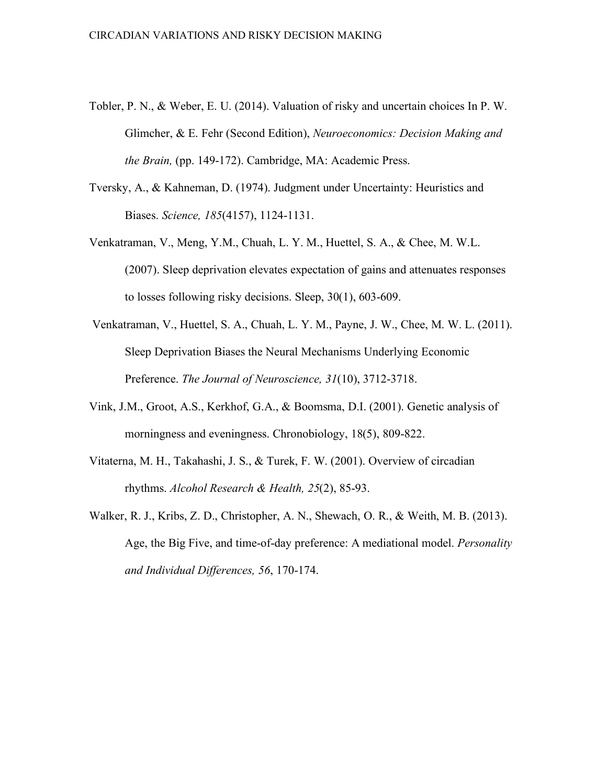- Tobler, P. N., & Weber, E. U. (2014). Valuation of risky and uncertain choices In P. W. Glimcher, & E. Fehr (Second Edition), *Neuroeconomics: Decision Making and the Brain,* (pp. 149-172). Cambridge, MA: Academic Press.
- Tversky, A., & Kahneman, D. (1974). Judgment under Uncertainty: Heuristics and Biases. *Science, 185*(4157), 1124-1131.
- Venkatraman, V., Meng, Y.M., Chuah, L. Y. M., Huettel, S. A., & Chee, M. W.L. (2007). Sleep deprivation elevates expectation of gains and attenuates responses to losses following risky decisions. Sleep, 30(1), 603-609.
- Venkatraman, V., Huettel, S. A., Chuah, L. Y. M., Payne, J. W., Chee, M. W. L. (2011). Sleep Deprivation Biases the Neural Mechanisms Underlying Economic Preference. *The Journal of Neuroscience, 31*(10), 3712-3718.
- Vink, J.M., Groot, A.S., Kerkhof, G.A., & Boomsma, D.I. (2001). Genetic analysis of morningness and eveningness. Chronobiology, 18(5), 809-822.
- Vitaterna, M. H., Takahashi, J. S., & Turek, F. W. (2001). Overview of circadian rhythms. *Alcohol Research & Health, 25*(2), 85-93.
- Walker, R. J., Kribs, Z. D., Christopher, A. N., Shewach, O. R., & Weith, M. B. (2013). Age, the Big Five, and time-of-day preference: A mediational model. *Personality and Individual Differences, 56*, 170-174.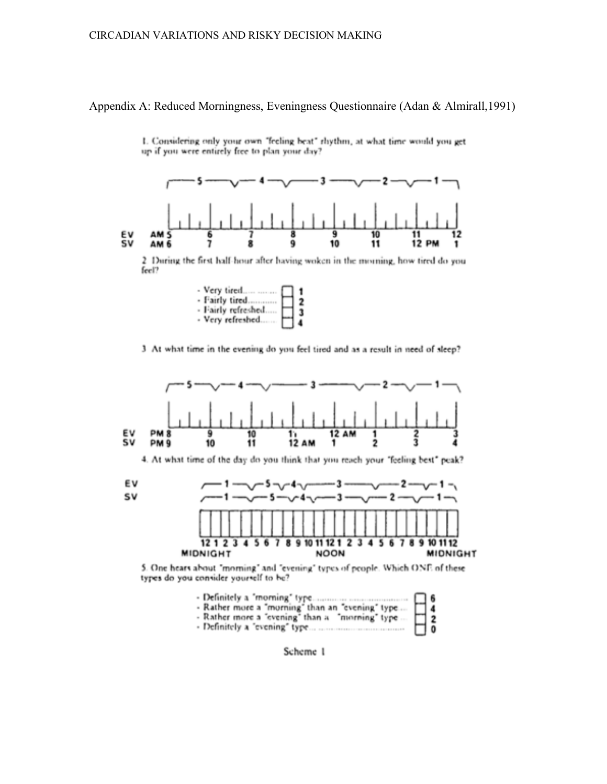#### Appendix A: Reduced Morningness, Eveningness Questionnaire (Adan & Almirall,1991)



1. Considering only your own "feeling beat" rhythm, at what time would you get up if you were entirely free to plan your day?

2 During the first half-hour after having woken in the morning, how tired do you feel?

| - Very tired       | 1 |
|--------------------|---|
| - Fairly tired     | 2 |
| - Fairly refreshed |   |
| - Very refreshed   | 4 |

3 At what time in the evening do you feel tired and as a result in need of sleep?





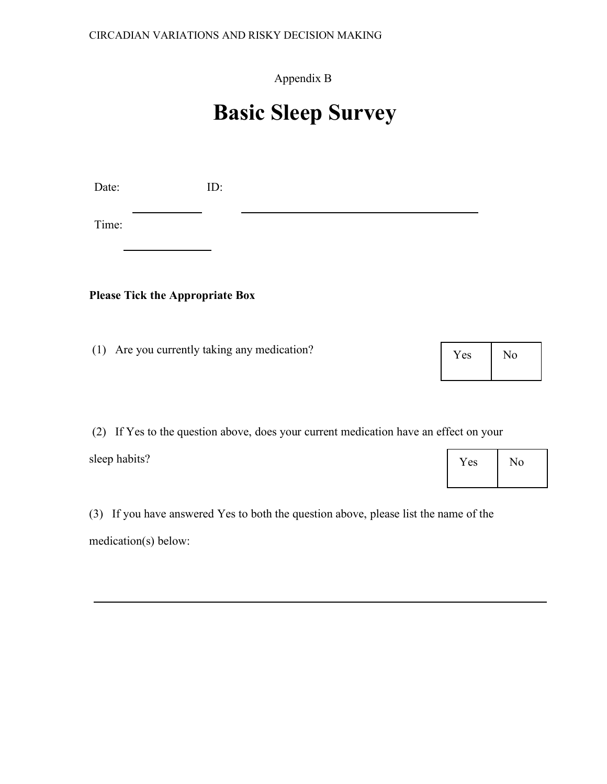### Appendix B

# **Basic Sleep Survey**

Date: ID:

Time:

### **Please Tick the Appropriate Box**

(1) Are you currently taking any medication?

(2) If Yes to the question above, does your current medication have an effect on your

sleep habits?

(3) If you have answered Yes to both the question above, please list the name of the medication(s) below:

Yes | No

Yes No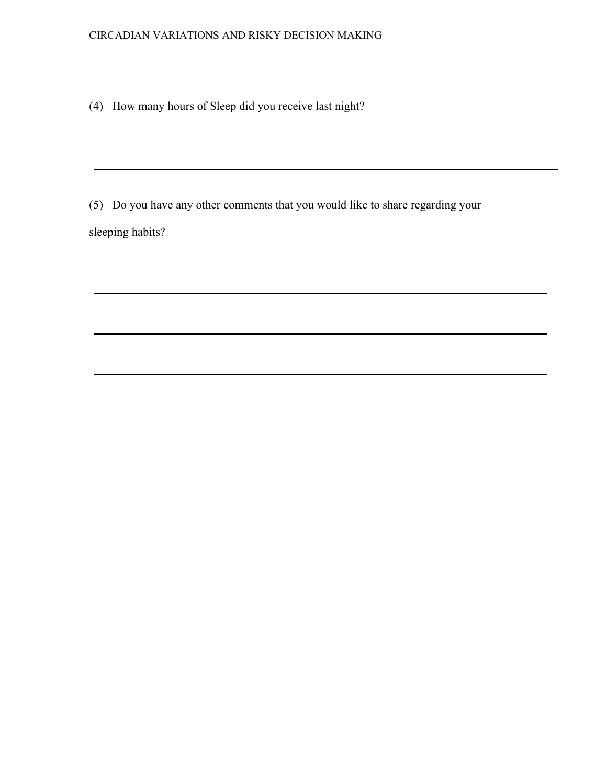(4) How many hours of Sleep did you receive last night?

(5) Do you have any other comments that you would like to share regarding your sleeping habits?